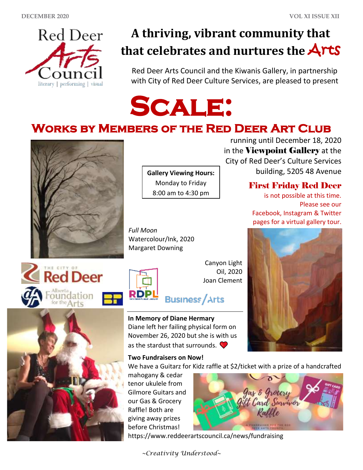

# **A thriving, vibrant community that that celebrates and nurtures the** Arts

Red Deer Arts Council and the Kiwanis Gallery, in partnership with City of Red Deer Culture Services, are pleased to present



## **Works by Members of the Red Deer Art Club**



**Gallery Viewing Hours:**  Monday to Friday 8:00 am to 4:30 pm

*Full Moon* Watercolour/Ink, 2020 Margaret Downing







Canyon Light Oil, 2020 Joan Clement

# **Business/Arts**

**In Memory of Diane Hermary** Diane left her failing physical form on November 26, 2020 but she is with us as the stardust that surrounds.  $\bullet$ 

#### **Two Fundraisers on Now!**

We have a Guitarz for Kidz raffle at \$2/ticket with a prize of a handcrafted

mahogany & cedar tenor ukulele from Gilmore Guitars and our Gas & Grocery Raffle! Both are giving away prizes before Christmas!



https://www.reddeerartscouncil.ca/news/fundraising

*~Creativity Understood~*

running until December 18, 2020 in the Viewpoint Gallery at the City of Red Deer's Culture Services building, 5205 48 Avenue

### First Friday Red Deer

is not possible at this time. Please see our Facebook, Instagram & Twitter pages for a virtual gallery tour.